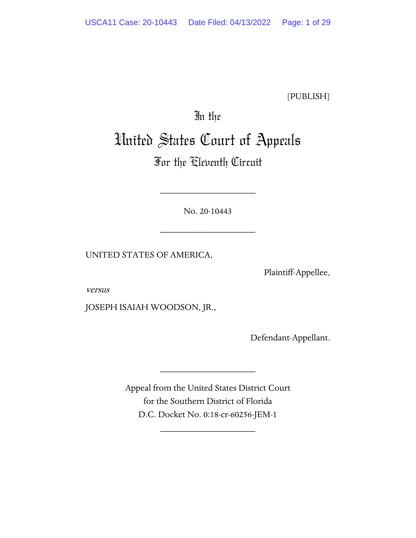[PUBLISH]

# In the

# United States Court of Appeals

# For the Eleventh Circuit

No. 20-10443

\_\_\_\_\_\_\_\_\_\_\_\_\_\_\_\_\_\_\_\_

\_\_\_\_\_\_\_\_\_\_\_\_\_\_\_\_\_\_\_\_

UNITED STATES OF AMERICA,

Plaintiff-Appellee,

versus

JOSEPH ISAIAH WOODSON, JR.,

Defendant-Appellant.

Appeal from the United States District Court for the Southern District of Florida D.C. Docket No. 0:18-cr-60256-JEM-1

\_\_\_\_\_\_\_\_\_\_\_\_\_\_\_\_\_\_\_\_

\_\_\_\_\_\_\_\_\_\_\_\_\_\_\_\_\_\_\_\_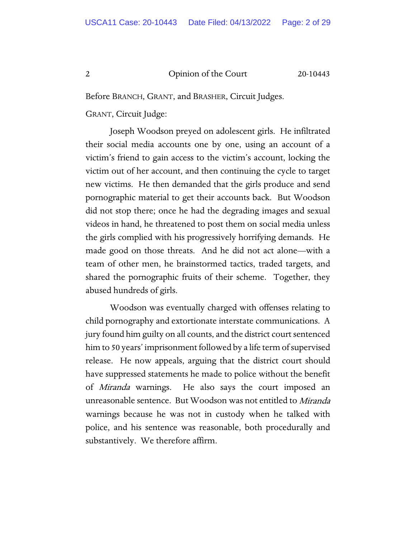Before BRANCH, GRANT, and BRASHER, Circuit Judges.

GRANT, Circuit Judge:

Joseph Woodson preyed on adolescent girls. He infiltrated their social media accounts one by one, using an account of a victim's friend to gain access to the victim's account, locking the victim out of her account, and then continuing the cycle to target new victims. He then demanded that the girls produce and send pornographic material to get their accounts back. But Woodson did not stop there; once he had the degrading images and sexual videos in hand, he threatened to post them on social media unless the girls complied with his progressively horrifying demands. He made good on those threats. And he did not act alone—with a team of other men, he brainstormed tactics, traded targets, and shared the pornographic fruits of their scheme. Together, they abused hundreds of girls.

Woodson was eventually charged with offenses relating to child pornography and extortionate interstate communications. A jury found him guilty on all counts, and the district court sentenced him to 50 years' imprisonment followed by a life term of supervised release. He now appeals, arguing that the district court should have suppressed statements he made to police without the benefit of Miranda warnings. He also says the court imposed an unreasonable sentence. But Woodson was not entitled to Miranda warnings because he was not in custody when he talked with police, and his sentence was reasonable, both procedurally and substantively. We therefore affirm.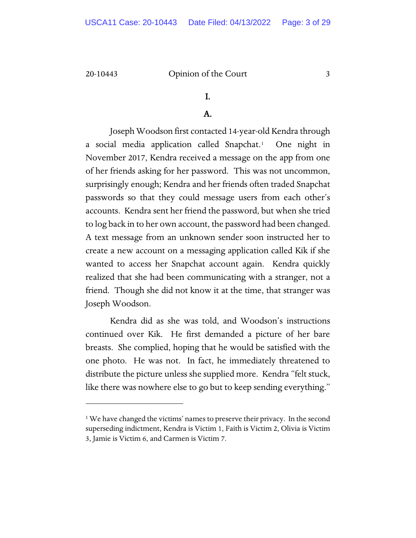## I.

### A.

Joseph Woodson first contacted 14-year-old Kendra through a social media application called Snapchat.<sup>[1](#page-2-0)</sup> One night in November 2017, Kendra received a message on the app from one of her friends asking for her password. This was not uncommon, surprisingly enough; Kendra and her friends often traded Snapchat passwords so that they could message users from each other's accounts. Kendra sent her friend the password, but when she tried to log back in to her own account, the password had been changed. A text message from an unknown sender soon instructed her to create a new account on a messaging application called Kik if she wanted to access her Snapchat account again. Kendra quickly realized that she had been communicating with a stranger, not a friend. Though she did not know it at the time, that stranger was Joseph Woodson.

Kendra did as she was told, and Woodson's instructions continued over Kik. He first demanded a picture of her bare breasts. She complied, hoping that he would be satisfied with the one photo. He was not. In fact, he immediately threatened to distribute the picture unless she supplied more. Kendra "felt stuck, like there was nowhere else to go but to keep sending everything."

<span id="page-2-0"></span><sup>&</sup>lt;sup>1</sup> We have changed the victims' names to preserve their privacy. In the second superseding indictment, Kendra is Victim 1, Faith is Victim 2, Olivia is Victim 3, Jamie is Victim 6, and Carmen is Victim 7.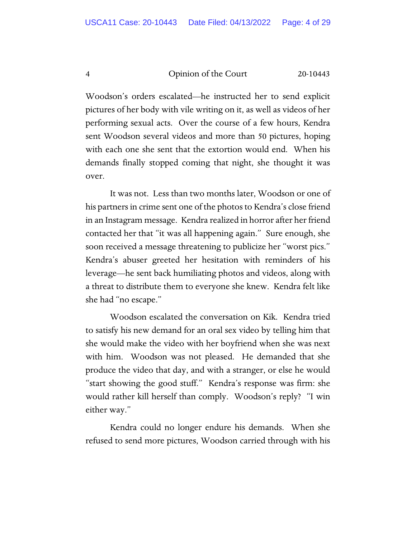Woodson's orders escalated—he instructed her to send explicit pictures of her body with vile writing on it, as well as videos of her performing sexual acts. Over the course of a few hours, Kendra sent Woodson several videos and more than 50 pictures, hoping with each one she sent that the extortion would end. When his demands finally stopped coming that night, she thought it was over.

It was not. Less than two months later, Woodson or one of his partners in crime sent one of the photos to Kendra's close friend in an Instagram message. Kendra realized in horror after her friend contacted her that "it was all happening again." Sure enough, she soon received a message threatening to publicize her "worst pics." Kendra's abuser greeted her hesitation with reminders of his leverage—he sent back humiliating photos and videos, along with a threat to distribute them to everyone she knew. Kendra felt like she had "no escape."

Woodson escalated the conversation on Kik. Kendra tried to satisfy his new demand for an oral sex video by telling him that she would make the video with her boyfriend when she was next with him. Woodson was not pleased. He demanded that she produce the video that day, and with a stranger, or else he would "start showing the good stuff." Kendra's response was firm: she would rather kill herself than comply. Woodson's reply? "I win either way."

Kendra could no longer endure his demands. When she refused to send more pictures, Woodson carried through with his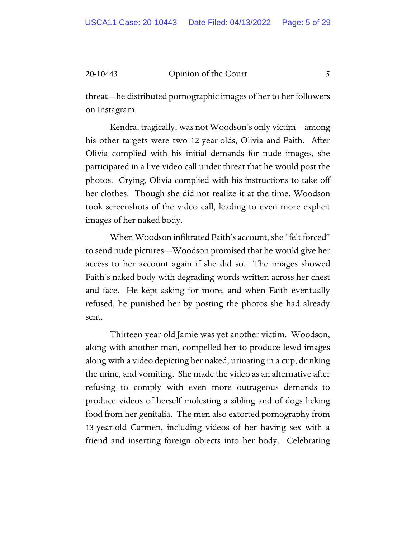threat—he distributed pornographic images of her to her followers on Instagram.

Kendra, tragically, was not Woodson's only victim—among his other targets were two 12-year-olds, Olivia and Faith. After Olivia complied with his initial demands for nude images, she participated in a live video call under threat that he would post the photos. Crying, Olivia complied with his instructions to take off her clothes. Though she did not realize it at the time, Woodson took screenshots of the video call, leading to even more explicit images of her naked body.

When Woodson infiltrated Faith's account, she "felt forced" to send nude pictures—Woodson promised that he would give her access to her account again if she did so. The images showed Faith's naked body with degrading words written across her chest and face. He kept asking for more, and when Faith eventually refused, he punished her by posting the photos she had already sent.

Thirteen-year-old Jamie was yet another victim. Woodson, along with another man, compelled her to produce lewd images along with a video depicting her naked, urinating in a cup, drinking the urine, and vomiting. She made the video as an alternative after refusing to comply with even more outrageous demands to produce videos of herself molesting a sibling and of dogs licking food from her genitalia. The men also extorted pornography from 13-year-old Carmen, including videos of her having sex with a friend and inserting foreign objects into her body. Celebrating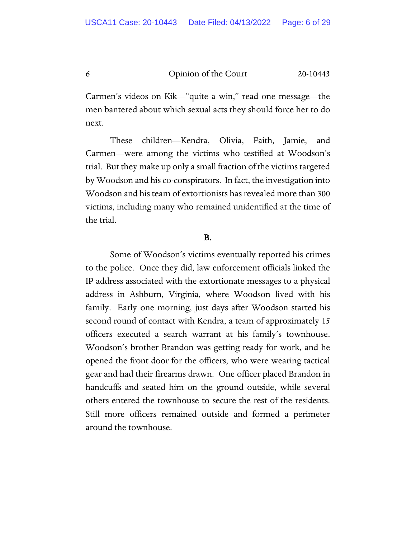Carmen's videos on Kik—"quite a win," read one message—the men bantered about which sexual acts they should force her to do next.

These children—Kendra, Olivia, Faith, Jamie, and Carmen—were among the victims who testified at Woodson's trial. But they make up only a small fraction of the victims targeted by Woodson and his co-conspirators. In fact, the investigation into Woodson and his team of extortionists has revealed more than 300 victims, including many who remained unidentified at the time of the trial.

#### B.

Some of Woodson's victims eventually reported his crimes to the police. Once they did, law enforcement officials linked the IP address associated with the extortionate messages to a physical address in Ashburn, Virginia, where Woodson lived with his family. Early one morning, just days after Woodson started his second round of contact with Kendra, a team of approximately 15 officers executed a search warrant at his family's townhouse. Woodson's brother Brandon was getting ready for work, and he opened the front door for the officers, who were wearing tactical gear and had their firearms drawn. One officer placed Brandon in handcuffs and seated him on the ground outside, while several others entered the townhouse to secure the rest of the residents. Still more officers remained outside and formed a perimeter around the townhouse.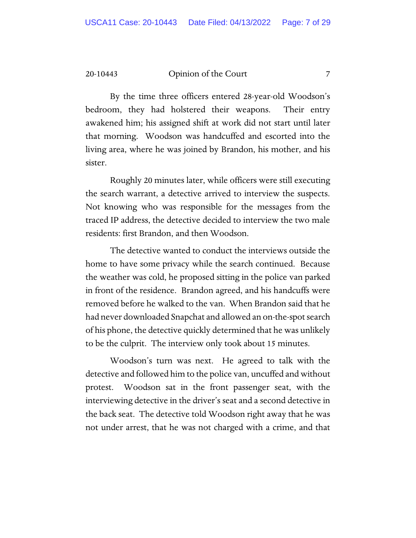By the time three officers entered 28-year-old Woodson's bedroom, they had holstered their weapons. Their entry awakened him; his assigned shift at work did not start until later that morning. Woodson was handcuffed and escorted into the living area, where he was joined by Brandon, his mother, and his sister.

Roughly 20 minutes later, while officers were still executing the search warrant, a detective arrived to interview the suspects. Not knowing who was responsible for the messages from the traced IP address, the detective decided to interview the two male residents: first Brandon, and then Woodson.

The detective wanted to conduct the interviews outside the home to have some privacy while the search continued. Because the weather was cold, he proposed sitting in the police van parked in front of the residence. Brandon agreed, and his handcuffs were removed before he walked to the van. When Brandon said that he had never downloaded Snapchat and allowed an on-the-spot search of his phone, the detective quickly determined that he was unlikely to be the culprit. The interview only took about 15 minutes.

Woodson's turn was next. He agreed to talk with the detective and followed him to the police van, uncuffed and without protest. Woodson sat in the front passenger seat, with the interviewing detective in the driver's seat and a second detective in the back seat. The detective told Woodson right away that he was not under arrest, that he was not charged with a crime, and that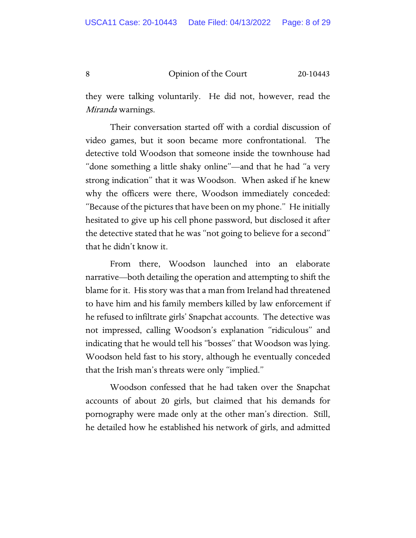they were talking voluntarily. He did not, however, read the Miranda warnings.

Their conversation started off with a cordial discussion of video games, but it soon became more confrontational. The detective told Woodson that someone inside the townhouse had "done something a little shaky online"—and that he had "a very strong indication" that it was Woodson. When asked if he knew why the officers were there, Woodson immediately conceded: "Because of the pictures that have been on my phone." He initially hesitated to give up his cell phone password, but disclosed it after the detective stated that he was "not going to believe for a second" that he didn't know it.

From there, Woodson launched into an elaborate narrative—both detailing the operation and attempting to shift the blame for it. His story was that a man from Ireland had threatened to have him and his family members killed by law enforcement if he refused to infiltrate girls' Snapchat accounts. The detective was not impressed, calling Woodson's explanation "ridiculous" and indicating that he would tell his "bosses" that Woodson was lying. Woodson held fast to his story, although he eventually conceded that the Irish man's threats were only "implied."

Woodson confessed that he had taken over the Snapchat accounts of about 20 girls, but claimed that his demands for pornography were made only at the other man's direction. Still, he detailed how he established his network of girls, and admitted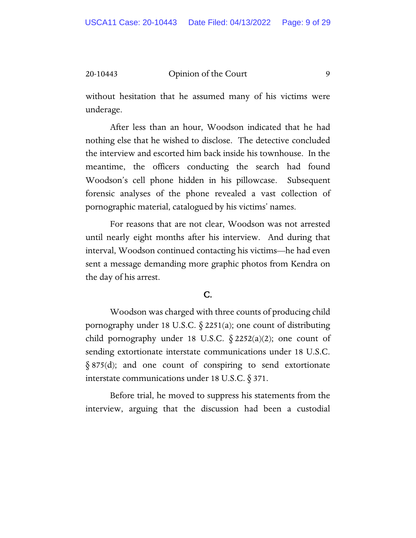without hesitation that he assumed many of his victims were underage.

After less than an hour, Woodson indicated that he had nothing else that he wished to disclose. The detective concluded the interview and escorted him back inside his townhouse. In the meantime, the officers conducting the search had found Woodson's cell phone hidden in his pillowcase. Subsequent forensic analyses of the phone revealed a vast collection of pornographic material, catalogued by his victims' names.

For reasons that are not clear, Woodson was not arrested until nearly eight months after his interview. And during that interval, Woodson continued contacting his victims—he had even sent a message demanding more graphic photos from Kendra on the day of his arrest.

#### C.

Woodson was charged with three counts of producing child pornography under 18 U.S.C.  $\S$  2251(a); one count of distributing child pornography under 18 U.S.C.  $\S 2252(a)(2)$ ; one count of sending extortionate interstate communications under 18 U.S.C. § 875(d); and one count of conspiring to send extortionate interstate communications under 18 U.S.C. § 371.

Before trial, he moved to suppress his statements from the interview, arguing that the discussion had been a custodial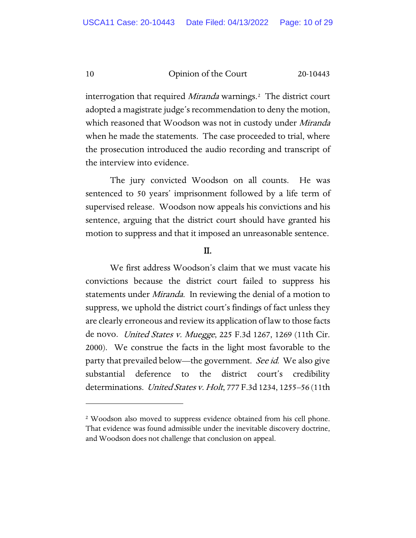interrogation that required *Miranda* warnings.<sup>[2](#page-9-0)</sup> The district court adopted a magistrate judge's recommendation to deny the motion, which reasoned that Woodson was not in custody under *Miranda* when he made the statements. The case proceeded to trial, where the prosecution introduced the audio recording and transcript of the interview into evidence.

The jury convicted Woodson on all counts. He was sentenced to 50 years' imprisonment followed by a life term of supervised release. Woodson now appeals his convictions and his sentence, arguing that the district court should have granted his motion to suppress and that it imposed an unreasonable sentence.

#### II.

We first address Woodson's claim that we must vacate his convictions because the district court failed to suppress his statements under *Miranda*. In reviewing the denial of a motion to suppress, we uphold the district court's findings of fact unless they are clearly erroneous and review its application of law to those facts de novo. *United States v. Muegge*, 225 F.3d 1267, 1269 (11th Cir. 2000). We construe the facts in the light most favorable to the party that prevailed below—the government. *See id*. We also give substantial deference to the district court's credibility determinations. *United States v. Holt*, 777 F.3d 1234, 1255–56 (11th

<span id="page-9-0"></span><sup>2</sup> Woodson also moved to suppress evidence obtained from his cell phone. That evidence was found admissible under the inevitable discovery doctrine, and Woodson does not challenge that conclusion on appeal.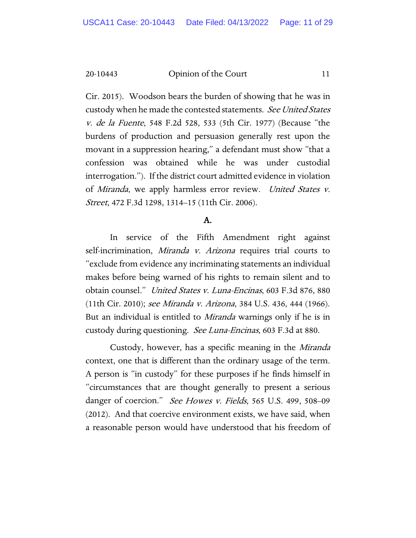Cir. 2015). Woodson bears the burden of showing that he was in custody when he made the contested statements. See United States v. de la Fuente, 548 F.2d 528, 533 (5th Cir. 1977) (Because "the burdens of production and persuasion generally rest upon the movant in a suppression hearing," a defendant must show "that a confession was obtained while he was under custodial interrogation."). If the district court admitted evidence in violation of Miranda, we apply harmless error review. United States v. Street, 472 F.3d 1298, 1314–15 (11th Cir. 2006).

#### A.

In service of the Fifth Amendment right against self-incrimination, *Miranda v. Arizona* requires trial courts to "exclude from evidence any incriminating statements an individual makes before being warned of his rights to remain silent and to obtain counsel." United States v. Luna-Encinas, 603 F.3d 876, 880 (11th Cir. 2010); see Miranda v. Arizona, 384 U.S. 436, 444 (1966). But an individual is entitled to *Miranda* warnings only if he is in custody during questioning. See Luna-Encinas, 603 F.3d at 880.

Custody, however, has a specific meaning in the Miranda context, one that is different than the ordinary usage of the term. A person is "in custody" for these purposes if he finds himself in "circumstances that are thought generally to present a serious danger of coercion." See Howes v. Fields, 565 U.S. 499, 508-09 (2012). And that coercive environment exists, we have said, when a reasonable person would have understood that his freedom of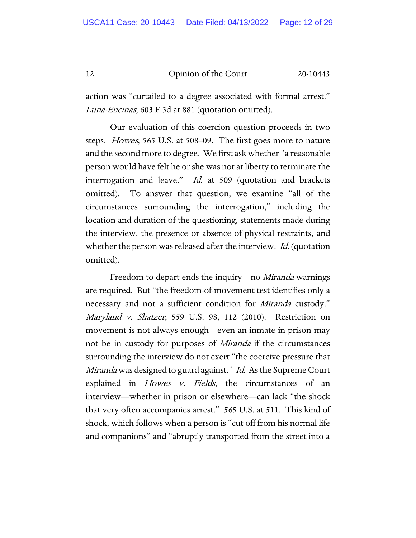action was "curtailed to a degree associated with formal arrest." Luna-Encinas, 603 F.3d at 881 (quotation omitted).

Our evaluation of this coercion question proceeds in two steps. *Howes*, 565 U.S. at 508–09. The first goes more to nature and the second more to degree. We first ask whether "a reasonable person would have felt he or she was not at liberty to terminate the interrogation and leave." *Id.* at 509 (quotation and brackets omitted). To answer that question, we examine "all of the circumstances surrounding the interrogation," including the location and duration of the questioning, statements made during the interview, the presence or absence of physical restraints, and whether the person was released after the interview. Id. (quotation omitted).

Freedom to depart ends the inquiry—no *Miranda* warnings are required. But "the freedom-of-movement test identifies only a necessary and not a sufficient condition for *Miranda* custody." Maryland v. Shatzer, 559 U.S. 98, 112 (2010). Restriction on movement is not always enough—even an inmate in prison may not be in custody for purposes of Miranda if the circumstances surrounding the interview do not exert "the coercive pressure that Miranda was designed to guard against." Id. As the Supreme Court explained in *Howes v. Fields*, the circumstances of an interview— whether in prison or elsewhere—can lack "the shock that very often accompanies arrest." 565 U.S. at 511. This kind of shock, which follows when a person is "cut off from his normal life and companions" and "abruptly transported from the street into a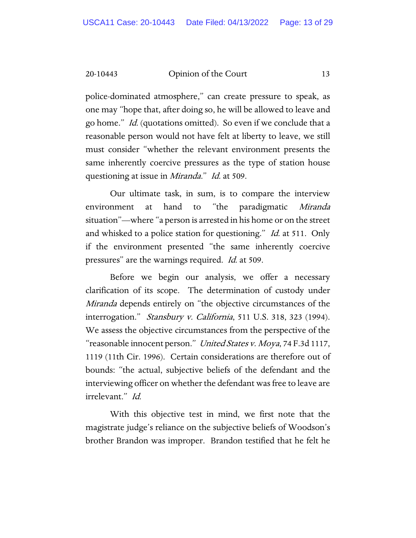police-dominated atmosphere," can create pressure to speak, as one may "hope that, after doing so, he will be allowed to leave and go home." Id. (quotations omitted). So even if we conclude that a reasonable person would not have felt at liberty to leave, we still must consider "whether the relevant environment presents the same inherently coercive pressures as the type of station house questioning at issue in Miranda." Id. at 509.

Our ultimate task, in sum, is to compare the interview environment at hand to "the paradigmatic Miranda situation"— where "a person is arrested in his home or on the street and whisked to a police station for questioning." *Id.* at 511. Only if the environment presented "the same inherently coercive pressures" are the warnings required. *Id.* at 509.

Before we begin our analysis, we offer a necessary clarification of its scope. The determination of custody under *Miranda* depends entirely on "the objective circumstances of the interrogation." Stansbury v. California, 511 U.S. 318, 323 (1994). We assess the objective circumstances from the perspective of the "reasonable innocent person." United States v. Moya, 74 F.3d 1117, 1119 (11th Cir. 1996). Certain considerations are therefore out of bounds: "the actual, subjective beliefs of the defendant and the interviewing officer on whether the defendant was free to leave are irrelevant." Id.

With this objective test in mind, we first note that the magistrate judge's reliance on the subjective beliefs of Woodson's brother Brandon was improper. Brandon testified that he felt he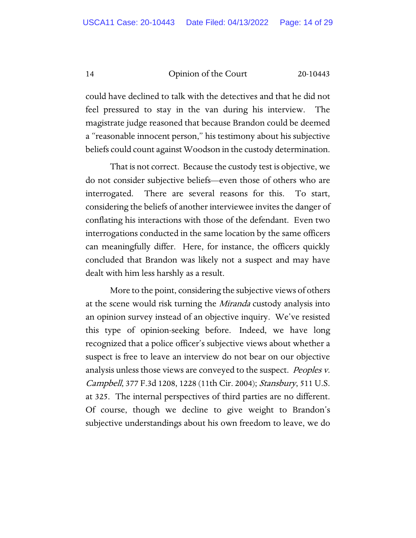could have declined to talk with the detectives and that he did not feel pressured to stay in the van during his interview. The magistrate judge reasoned that because Brandon could be deemed a "reasonable innocent person," his testimony about his subjective beliefs could count against Woodson in the custody determination.

That is not correct. Because the custody test is objective, we do not consider subjective beliefs—even those of others who are interrogated. There are several reasons for this. To start, considering the beliefs of another interviewee invites the danger of conflating his interactions with those of the defendant. Even two interrogations conducted in the same location by the same officers can meaningfully differ. Here, for instance, the officers quickly concluded that Brandon was likely not a suspect and may have dealt with him less harshly as a result.

More to the point, considering the subjective views of others at the scene would risk turning the *Miranda* custody analysis into an opinion survey instead of an objective inquiry. We've resisted this type of opinion-seeking before. Indeed, we have long recognized that a police officer's subjective views about whether a suspect is free to leave an interview do not bear on our objective analysis unless those views are conveyed to the suspect. *Peoples v.* Campbell, 377 F.3d 1208, 1228 (11th Cir. 2004); Stansbury, 511 U.S. at 325. The internal perspectives of third parties are no different. Of course, though we decline to give weight to Brandon's subjective understandings about his own freedom to leave, we do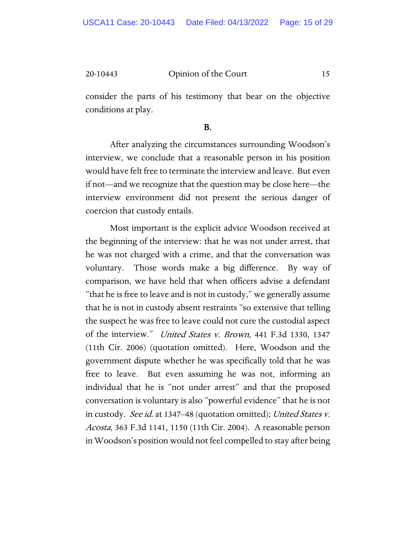consider the parts of his testimony that bear on the objective conditions at play.

#### B.

After analyzing the circumstances surrounding Woodson's interview, we conclude that a reasonable person in his position would have felt free to terminate the interview and leave. But even if not—and we recognize that the question may be close here—the interview environment did not present the serious danger of coercion that custody entails.

Most important is the explicit advice Woodson received at the beginning of the interview: that he was not under arrest, that he was not charged with a crime, and that the conversation was voluntary. Those words make a big difference. By way of comparison, we have held that when officers advise a defendant "that he is free to leave and is not in custody," we generally assume that he is not in custody absent restraints "so extensive that telling the suspect he was free to leave could not cure the custodial aspect of the interview." United States v. Brown, 441 F.3d 1330, 1347 (11th Cir. 2006) (quotation omitted). Here, Woodson and the government dispute whether he was specifically told that he was free to leave. But even assuming he was not, informing an individual that he is "not under arrest" and that the proposed conversation is voluntary is also "powerful evidence" that he is not in custody. See id. at 1347–48 (quotation omitted); United States v. Acosta, 363 F.3d 1141, 1150 (11th Cir. 2004). A reasonable person in Woodson's position would not feel compelled to stay after being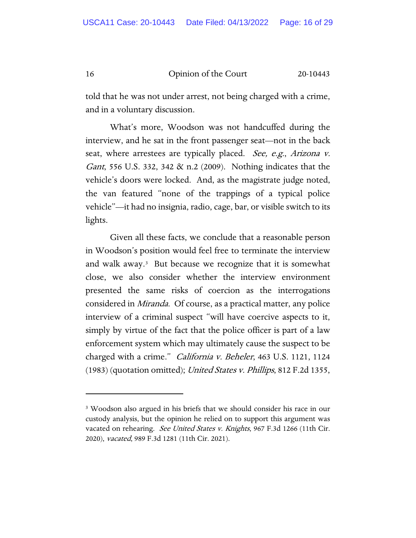told that he was not under arrest, not being charged with a crime, and in a voluntary discussion.

What's more, Woodson was not handcuffed during the interview, and he sat in the front passenger seat—not in the back seat, where arrestees are typically placed. See, e.g., Arizona v. Gant, 556 U.S. 332, 342 & n.2 (2009). Nothing indicates that the vehicle's doors were locked. And, as the magistrate judge noted, the van featured "none of the trappings of a typical police vehicle"—it had no insignia, radio, cage, bar, or visible switch to its lights.

Given all these facts, we conclude that a reasonable person in Woodson's position would feel free to terminate the interview and walk away.[3](#page-15-0) But because we recognize that it is somewhat close, we also consider whether the interview environment presented the same risks of coercion as the interrogations considered in Miranda. Of course, as a practical matter, any police interview of a criminal suspect "will have coercive aspects to it, simply by virtue of the fact that the police officer is part of a law enforcement system which may ultimately cause the suspect to be charged with a crime." *California v. Beheler*, 463 U.S. 1121, 1124 (1983) (quotation omitted); United States v. Phillips, 812 F.2d 1355,

<span id="page-15-0"></span><sup>&</sup>lt;sup>3</sup> Woodson also argued in his briefs that we should consider his race in our custody analysis, but the opinion he relied on to support this argument was vacated on rehearing. See United States v. Knights, 967 F.3d 1266 (11th Cir. 2020), vacated, 989 F.3d 1281 (11th Cir. 2021).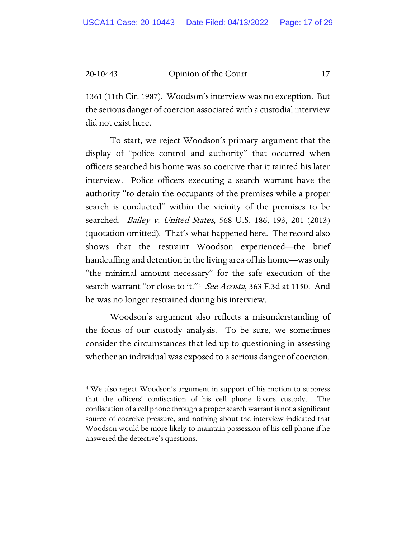1361 (11th Cir. 1987). Woodson's interview was no exception. But the serious danger of coercion associated with a custodial interview did not exist here.

To start, we reject Woodson's primary argument that the display of "police control and authority" that occurred when officers searched his home was so coercive that it tainted his later interview. Police officers executing a search warrant have the authority "to detain the occupants of the premises while a proper search is conducted" within the vicinity of the premises to be searched. Bailey v. United States, 568 U.S. 186, 193, 201 (2013) (quotation omitted). That's what happened here. The record also shows that the restraint Woodson experienced—the brief handcuffing and detention in the living area of his home—was only "the minimal amount necessary" for the safe execution of the search warrant "or close to it."<sup>4</sup> See Acosta, 363 F.3d at 1150. And he was no longer restrained during his interview.

Woodson's argument also reflects a misunderstanding of the focus of our custody analysis. To be sure, we sometimes consider the circumstances that led up to questioning in assessing whether an individual was exposed to a serious danger of coercion.

<span id="page-16-0"></span><sup>4</sup> We also reject Woodson's argument in support of his motion to suppress that the officers' confiscation of his cell phone favors custody. The confiscation of a cell phone through a proper search warrant is not a significant source of coercive pressure, and nothing about the interview indicated that Woodson would be more likely to maintain possession of his cell phone if he answered the detective's questions.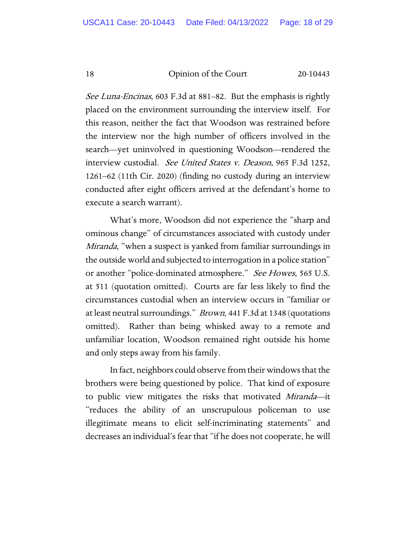See Luna-Encinas, 603 F.3d at 881–82. But the emphasis is rightly placed on the environment surrounding the interview itself. For this reason, neither the fact that Woodson was restrained before the interview nor the high number of officers involved in the search—yet uninvolved in questioning Woodson—rendered the interview custodial. See United States v. Deason, 965 F.3d 1252, 1261–62 (11th Cir. 2020) (finding no custody during an interview conducted after eight officers arrived at the defendant's home to execute a search warrant).

What's more, Woodson did not experience the "sharp and ominous change" of circumstances associated with custody under Miranda, "when a suspect is yanked from familiar surroundings in the outside world and subjected to interrogation in a police station" or another "police-dominated atmosphere." See Howes, 565 U.S. at 511 (quotation omitted). Courts are far less likely to find the circumstances custodial when an interview occurs in "familiar or at least neutral surroundings." *Brown*, 441 F.3d at 1348 (quotations omitted). Rather than being whisked away to a remote and unfamiliar location, Woodson remained right outside his home and only steps away from his family.

In fact, neighbors could observe from their windows that the brothers were being questioned by police. That kind of exposure to public view mitigates the risks that motivated Miranda—it "reduces the ability of an unscrupulous policeman to use illegitimate means to elicit self-incriminating statements" and decreases an individual's fear that "if he does not cooperate, he will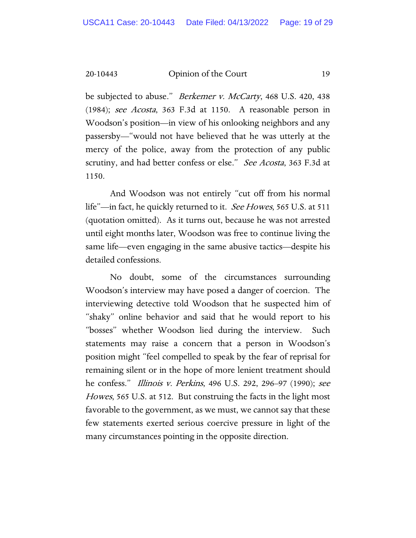be subjected to abuse." *Berkemer v. McCarty*, 468 U.S. 420, 438 (1984); see Acosta, 363 F.3d at 1150. A reasonable person in Woodson's position—in view of his onlooking neighbors and any passersby—"would not have believed that he was utterly at the mercy of the police, away from the protection of any public scrutiny, and had better confess or else." See Acosta, 363 F.3d at 1150.

And Woodson was not entirely "cut off from his normal life"—in fact, he quickly returned to it. See Howes, 565 U.S. at 511 (quotation omitted). As it turns out, because he was not arrested until eight months later, Woodson was free to continue living the same life—even engaging in the same abusive tactics—despite his detailed confessions.

No doubt, some of the circumstances surrounding Woodson's interview may have posed a danger of coercion. The interviewing detective told Woodson that he suspected him of "shaky" online behavior and said that he would report to his "bosses" whether Woodson lied during the interview. Such statements may raise a concern that a person in Woodson's position might "feel compelled to speak by the fear of reprisal for remaining silent or in the hope of more lenient treatment should he confess." Illinois v. Perkins, 496 U.S. 292, 296–97 (1990); see Howes, 565 U.S. at 512. But construing the facts in the light most favorable to the government, as we must, we cannot say that these few statements exerted serious coercive pressure in light of the many circumstances pointing in the opposite direction.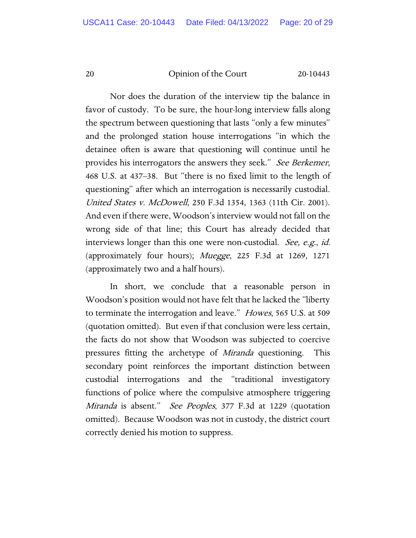Nor does the duration of the interview tip the balance in favor of custody. To be sure, the hour-long interview falls along the spectrum between questioning that lasts "only a few minutes" and the prolonged station house interrogations "in which the detainee often is aware that questioning will continue until he provides his interrogators the answers they seek." See Berkemer, 468 U.S. at 437–38. But "there is no fixed limit to the length of questioning" after which an interrogation is necessarily custodial. United States v. McDowell, 250 F.3d 1354, 1363 (11th Cir. 2001). And even if there were, Woodson's interview would not fall on the wrong side of that line; this Court has already decided that interviews longer than this one were non-custodial. See, e.g., id. (approximately four hours); Muegge, 225 F.3d at 1269, 1271 (approximately two and a half hours).

In short, we conclude that a reasonable person in Woodson's position would not have felt that he lacked the "liberty to terminate the interrogation and leave." *Howes*, 565 U.S. at 509 (quotation omitted). But even if that conclusion were less certain, the facts do not show that Woodson was subjected to coercive pressures fitting the archetype of *Miranda* questioning. This secondary point reinforces the important distinction between custodial interrogations and the "traditional investigatory functions of police where the compulsive atmosphere triggering Miranda is absent." See Peoples, 377 F.3d at 1229 (quotation omitted). Because Woodson was not in custody, the district court correctly denied his motion to suppress.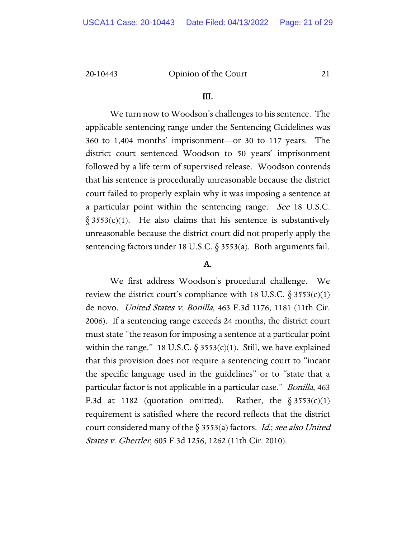#### III.

We turn now to Woodson's challenges to his sentence. The applicable sentencing range under the Sentencing Guidelines was 360 to 1,404 months' imprisonment—or 30 to 117 years. The district court sentenced Woodson to 50 years' imprisonment followed by a life term of supervised release. Woodson contends that his sentence is procedurally unreasonable because the district court failed to properly explain why it was imposing a sentence at a particular point within the sentencing range. See 18 U.S.C.  $§ 3553(c)(1)$ . He also claims that his sentence is substantively unreasonable because the district court did not properly apply the sentencing factors under 18 U.S.C.  $\S 3553(a)$ . Both arguments fail.

#### A.

We first address Woodson's procedural challenge. We review the district court's compliance with 18 U.S.C.  $\S 3553(c)(1)$ de novo. United States v. Bonilla, 463 F.3d 1176, 1181 (11th Cir. 2006). If a sentencing range exceeds 24 months, the district court must state "the reason for imposing a sentence at a particular point within the range." 18 U.S.C.  $\S 3553(c)(1)$ . Still, we have explained that this provision does not require a sentencing court to "incant the specific language used in the guidelines" or to "state that a particular factor is not applicable in a particular case." Bonilla, 463 F.3d at 1182 (quotation omitted). Rather, the  $\S 3553(c)(1)$ requirement is satisfied where the record reflects that the district court considered many of the  $\S 3553(a)$  factors. *Id.*; see also United States v. Ghertler, 605 F.3d 1256, 1262 (11th Cir. 2010).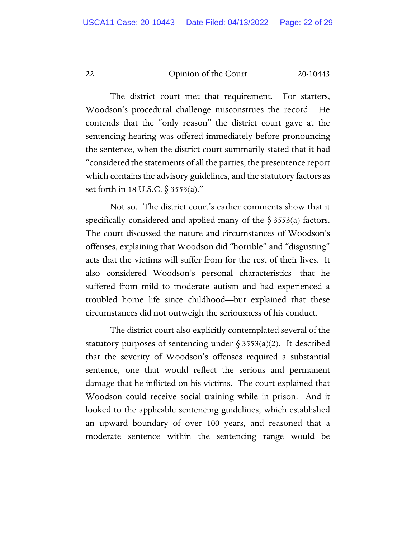The district court met that requirement. For starters, Woodson's procedural challenge misconstrues the record. He contends that the "only reason" the district court gave at the sentencing hearing was offered immediately before pronouncing the sentence, when the district court summarily stated that it had "considered the statements of all the parties, the presentence report which contains the advisory guidelines, and the statutory factors as set forth in 18 U.S.C. § 3553(a)."

Not so. The district court's earlier comments show that it specifically considered and applied many of the  $\S$  3553(a) factors. The court discussed the nature and circumstances of Woodson's offenses, explaining that Woodson did "horrible" and "disgusting" acts that the victims will suffer from for the rest of their lives. It also considered Woodson's personal characteristics—that he suffered from mild to moderate autism and had experienced a troubled home life since childhood—but explained that these circumstances did not outweigh the seriousness of his conduct.

The district court also explicitly contemplated several of the statutory purposes of sentencing under  $\S 3553(a)(2)$ . It described that the severity of Woodson's offenses required a substantial sentence, one that would reflect the serious and permanent damage that he inflicted on his victims. The court explained that Woodson could receive social training while in prison. And it looked to the applicable sentencing guidelines, which established an upward boundary of over 100 years, and reasoned that a moderate sentence within the sentencing range would be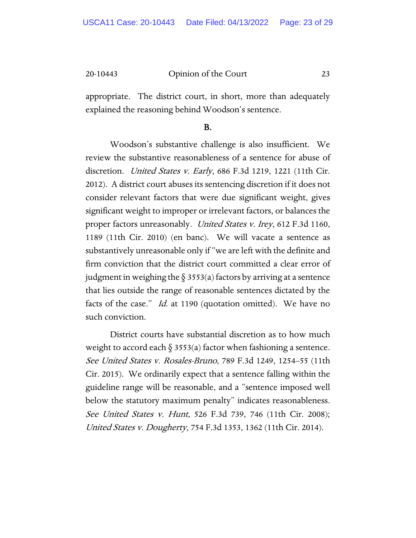appropriate. The district court, in short, more than adequately explained the reasoning behind Woodson's sentence.

#### B.

Woodson's substantive challenge is also insufficient. We review the substantive reasonableness of a sentence for abuse of discretion. *United States v. Early*, 686 F.3d 1219, 1221 (11th Cir. 2012). A district court abuses its sentencing discretion if it does not consider relevant factors that were due significant weight, gives significant weight to improper or irrelevant factors, or balances the proper factors unreasonably. United States v. Irey, 612 F.3d 1160, 1189 (11th Cir. 2010) (en banc). We will vacate a sentence as substantively unreasonable only if "we are left with the definite and firm conviction that the district court committed a clear error of judgment in weighing the  $\S$  3553(a) factors by arriving at a sentence that lies outside the range of reasonable sentences dictated by the facts of the case." *Id.* at 1190 (quotation omitted). We have no such conviction.

District courts have substantial discretion as to how much weight to accord each  $\S$  3553(a) factor when fashioning a sentence. See United States v. Rosales-Bruno, 789 F.3d 1249, 1254–55 (11th Cir. 2015). We ordinarily expect that a sentence falling within the guideline range will be reasonable, and a "sentence imposed well below the statutory maximum penalty" indicates reasonableness. See United States v. Hunt, 526 F.3d 739, 746 (11th Cir. 2008); United States v. Dougherty, 754 F.3d 1353, 1362 (11th Cir. 2014).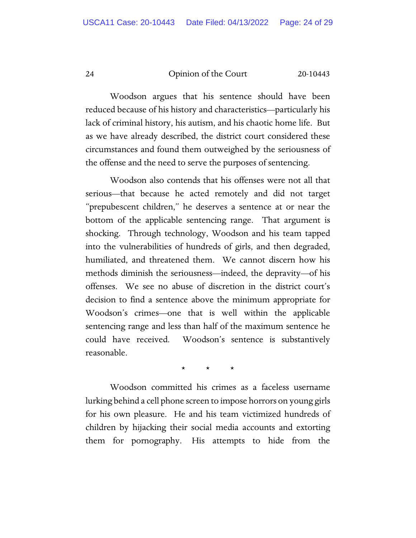Woodson argues that his sentence should have been reduced because of his history and characteristics—particularly his lack of criminal history, his autism, and his chaotic home life. But as we have already described, the district court considered these circumstances and found them outweighed by the seriousness of the offense and the need to serve the purposes of sentencing.

Woodson also contends that his offenses were not all that serious—that because he acted remotely and did not target "prepubescent children," he deserves a sentence at or near the bottom of the applicable sentencing range. That argument is shocking. Through technology, Woodson and his team tapped into the vulnerabilities of hundreds of girls, and then degraded, humiliated, and threatened them. We cannot discern how his methods diminish the seriousness—indeed, the depravity—of his offenses. We see no abuse of discretion in the district court's decision to find a sentence above the minimum appropriate for Woodson's crimes—one that is well within the applicable sentencing range and less than half of the maximum sentence he could have received. Woodson's sentence is substantively reasonable.

\* \* \*

Woodson committed his crimes as a faceless username lurking behind a cell phone screen to impose horrors on young girls for his own pleasure. He and his team victimized hundreds of children by hijacking their social media accounts and extorting them for pornography. His attempts to hide from the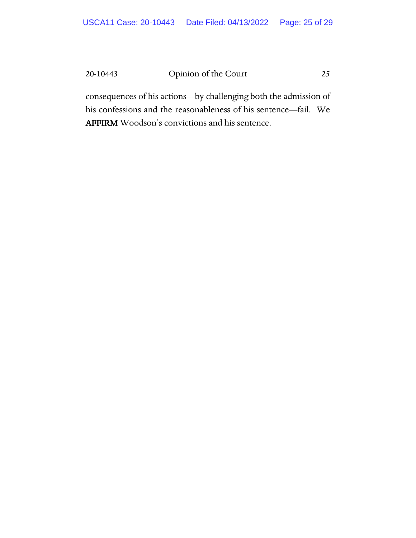consequences of his actions—by challenging both the admission of his confessions and the reasonableness of his sentence—fail. We AFFIRM Woodson's convictions and his sentence.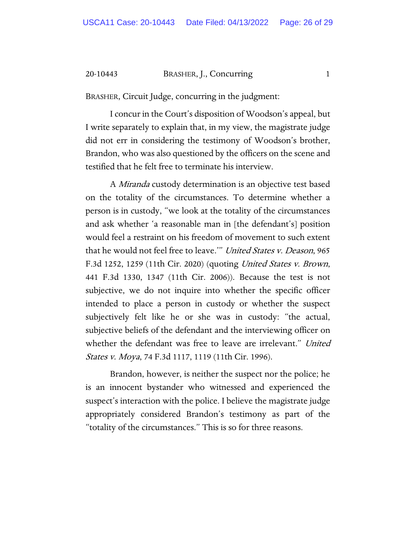#### 20-10443 BRASHER, J., Concurring 1

BRASHER, Circuit Judge, concurring in the judgment:

I concur in the Court's disposition of Woodson's appeal, but I write separately to explain that, in my view, the magistrate judge did not err in considering the testimony of Woodson's brother, Brandon, who was also questioned by the officers on the scene and testified that he felt free to terminate his interview.

A Miranda custody determination is an objective test based on the totality of the circumstances. To determine whether a person is in custody, "we look at the totality of the circumstances and ask whether 'a reasonable man in [the defendant's] position would feel a restraint on his freedom of movement to such extent that he would not feel free to leave.'" United States v. Deason, 965 F.3d 1252, 1259 (11th Cir. 2020) (quoting United States v. Brown, 441 F.3d 1330, 1347 (11th Cir. 2006)). Because the test is not subjective, we do not inquire into whether the specific officer intended to place a person in custody or whether the suspect subjectively felt like he or she was in custody: "the actual, subjective beliefs of the defendant and the interviewing officer on whether the defendant was free to leave are irrelevant." United States v. Moya, 74 F.3d 1117, 1119 (11th Cir. 1996).

Brandon, however, is neither the suspect nor the police; he is an innocent bystander who witnessed and experienced the suspect's interaction with the police. I believe the magistrate judge appropriately considered Brandon's testimony as part of the "totality of the circumstances." This is so for three reasons.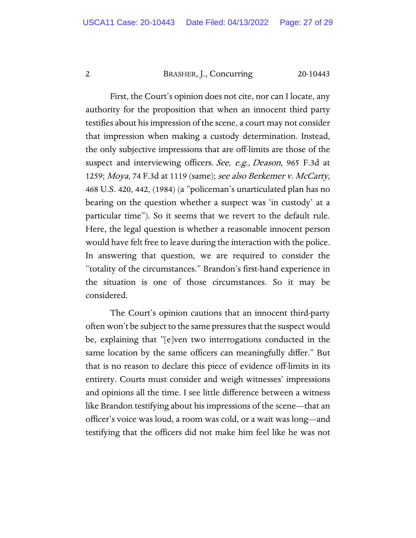#### 2 BRASHER, J., Concurring 20-10443

First, the Court's opinion does not cite, nor can I locate, any authority for the proposition that when an innocent third party testifies about his impression of the scene, a court may not consider that impression when making a custody determination. Instead, the only subjective impressions that are off-limits are those of the suspect and interviewing officers. See, e.g., Deason, 965 F.3d at 1259; Moya, 74 F.3d at 1119 (same); see also Berkemer v. McCarty, 468 U.S. 420, 442, (1984) (a "policeman's unarticulated plan has no bearing on the question whether a suspect was 'in custody' at a particular time"). So it seems that we revert to the default rule. Here, the legal question is whether a reasonable innocent person would have felt free to leave during the interaction with the police. In answering that question, we are required to consider the "totality of the circumstances." Brandon's first-hand experience in the situation is one of those circumstances. So it may be considered.

The Court's opinion cautions that an innocent third-party often won't be subject to the same pressures that the suspect would be, explaining that "[e]ven two interrogations conducted in the same location by the same officers can meaningfully differ." But that is no reason to declare this piece of evidence off-limits in its entirety. Courts must consider and weigh witnesses' impressions and opinions all the time. I see little difference between a witness like Brandon testifying about his impressions of the scene—that an officer's voice was loud, a room was cold, or a wait was long—and testifying that the officers did not make him feel like he was not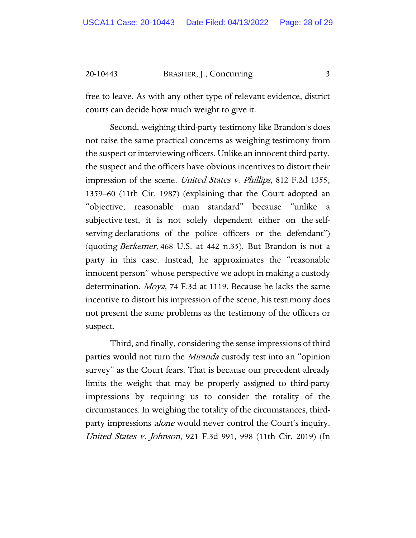20-10443 BRASHER, J., Concurring 3

free to leave. As with any other type of relevant evidence, district courts can decide how much weight to give it.

Second, weighing third-party testimony like Brandon's does not raise the same practical concerns as weighing testimony from the suspect or interviewing officers. Unlike an innocent third party, the suspect and the officers have obvious incentives to distort their impression of the scene. United States v. Phillips, 812 F.2d 1355, 1359–60 (11th Cir. 1987) (explaining that the Court adopted an "objective, reasonable man standard" because "unlike a subjective test, it is not solely dependent either on the selfserving declarations of the police officers or the defendant") (quoting Berkemer, 468 U.S. at 442 n.35). But Brandon is not a party in this case. Instead, he approximates the "reasonable innocent person" whose perspective we adopt in making a custody determination. Moya, 74 F.3d at 1119. Because he lacks the same incentive to distort his impression of the scene, his testimony does not present the same problems as the testimony of the officers or suspect.

Third, and finally, considering the sense impressions of third parties would not turn the *Miranda* custody test into an "opinion" survey" as the Court fears. That is because our precedent already limits the weight that may be properly assigned to third-party impressions by requiring us to consider the totality of the circumstances. In weighing the totality of the circumstances, thirdparty impressions *alone* would never control the Court's inquiry. United States v. Johnson, 921 F.3d 991, 998 (11th Cir. 2019) (In